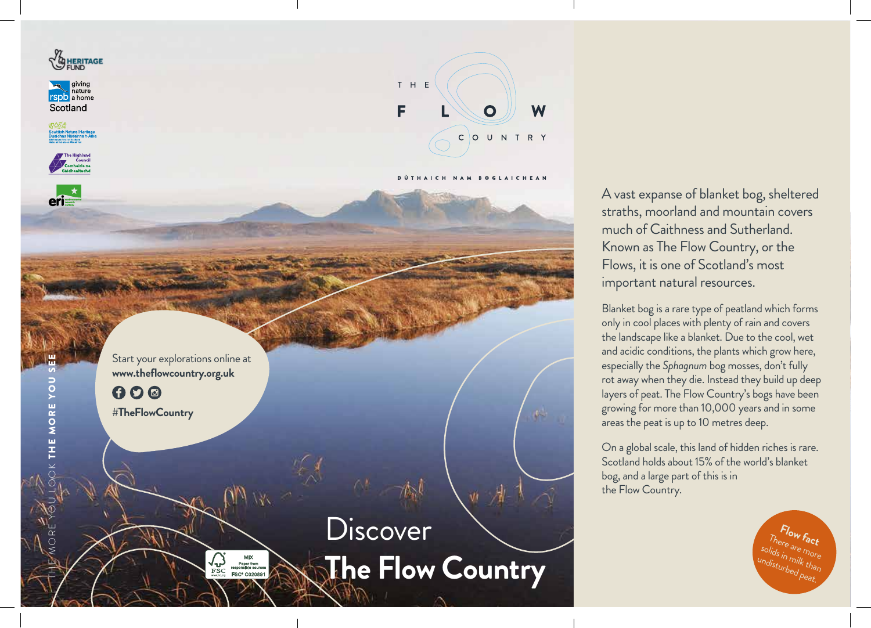









eri

THE MORE YOU LOOK

MORE

THE MORE YOU SEE

THE MORE YOU



**BOGLAICHEAN** 

Start your explorations online at **www.theflowcountry.org.uk** 

MIX<br>Paper from<br>responsible source<br>FSC® C020891

 $000$ **#TheFlowCountry** 

**Discover** 

**The Flow Country**

A vast expanse of blanket bog, sheltered straths, moorland and mountain covers much of Caithness and Sutherland. Known as The Flow Country, or the Flows, it is one of Scotland's most important natural resources.

Blanket bog is a rare type of peatland which forms only in cool places with plenty of rain and covers the landscape like a blanket. Due to the cool, wet and acidic conditions, the plants which grow here, especially the *Sphagnum* bog mosses, don't fully rot away when they die. Instead they build up deep layers of peat. The Flow Country's bogs have been growing for more than 10,000 years and in some areas the peat is up to 10 metres deep.

On a global scale, this land of hidden riches is rare. Scotland holds about 15% of the world's blanket bog, and a large part of this is in the Flow Country.

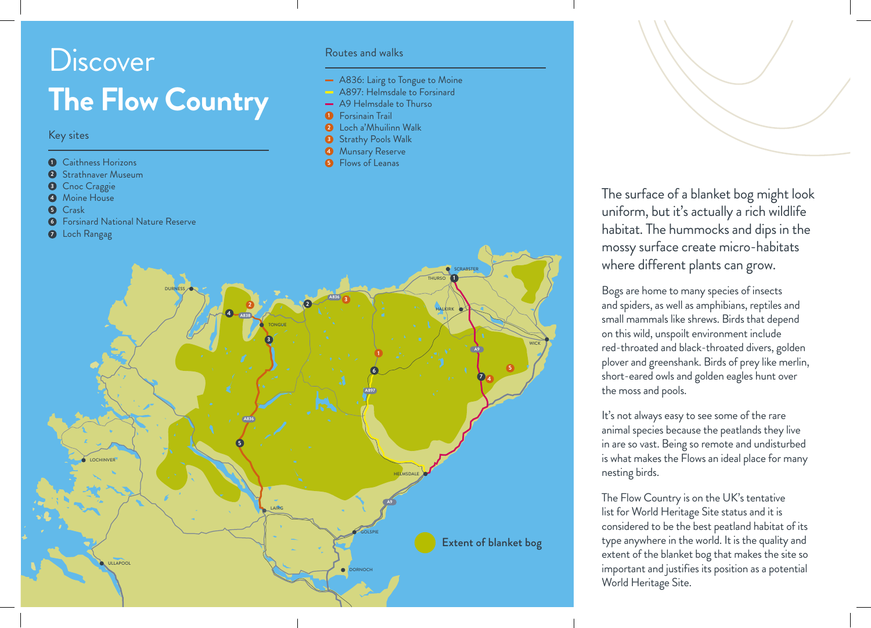# **Discover The Flow Country**

#### Key sites

- **1** Caithness Horizons
- **2** Strathnaver Museum
- **3** Cnoc Craggie
- **4** Moine House
- **5** Crask

#### Routes and walks

- **A836: Lairg to Tongue to Moine** A897: Helmsdale to Forsinard
- $\rightarrow$  A9 Helmsdale to Thurso
- **1** Forsinain Trail
- **2** Loch a'Mhuilinn Walk
- **3** Strathy Pools Walk
- **4** Munsary Reserve
- **5** Flows of Leanas





Bogs are home to many species of insects and spiders, as well as amphibians, reptiles and small mammals like shrews. Birds that depend on this wild, unspoilt environment include red-throated and black-throated divers, golden plover and greenshank. Birds of prey like merlin, short-eared owls and golden eagles hunt over the moss and pools.

It's not always easy to see some of the rare animal species because the peatlands they live in are so vast. Being so remote and undisturbed is what makes the Flows an ideal place for many nesting birds.

The Flow Country is on the UK's tentative list for World Heritage Site status and it is considered to be the best peatland habitat of its type anywhere in the world. It is the quality and extent of the blanket bog that makes the site so important and justifies its position as a potential World Heritage Site.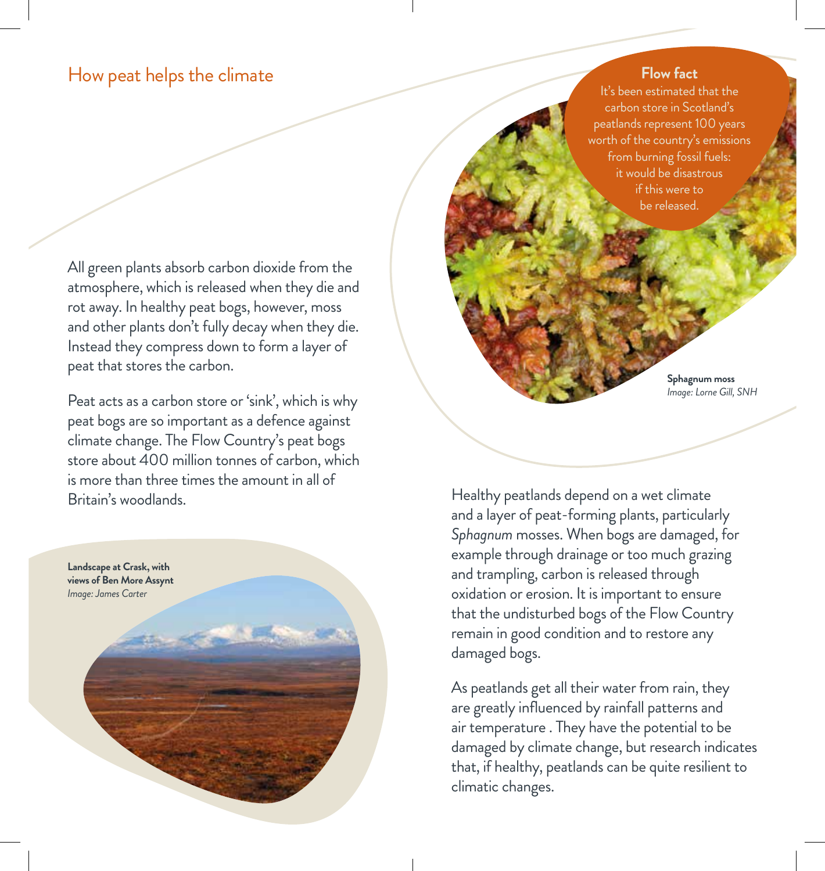# How peat helps the climate

#### **Flow fact**

It's been estimated that the carbon store in Scotland's peatlands represent 100 years worth of the country's emissions from burning fossil fuels: it would be disastrous if this were to be released.

> **Sphagnum moss**  *Image: Lorne Gill, SNH*

and a layer of peat-forming plants, particularly *Sphagnum* mosses. When bogs are damaged, for example through drainage or too much grazing and trampling, carbon is released through oxidation or erosion. It is important to ensure that the undisturbed bogs of the Flow Country remain in good condition and to restore any damaged bogs.

As peatlands get all their water from rain, they are greatly influenced by rainfall patterns and air temperature . They have the potential to be damaged by climate change, but research indicates that, if healthy, peatlands can be quite resilient to climatic changes.

All green plants absorb carbon dioxide from the atmosphere, which is released when they die and rot away. In healthy peat bogs, however, moss and other plants don't fully decay when they die. Instead they compress down to form a layer of peat that stores the carbon.

Peat acts as a carbon store or 'sink', which is why peat bogs are so important as a defence against climate change. The Flow Country's peat bogs store about 400 million tonnes of carbon, which is more than three times the amount in all of Britain's woodlands. The subset of the Health and Healthy peatlands depend on a wet climate

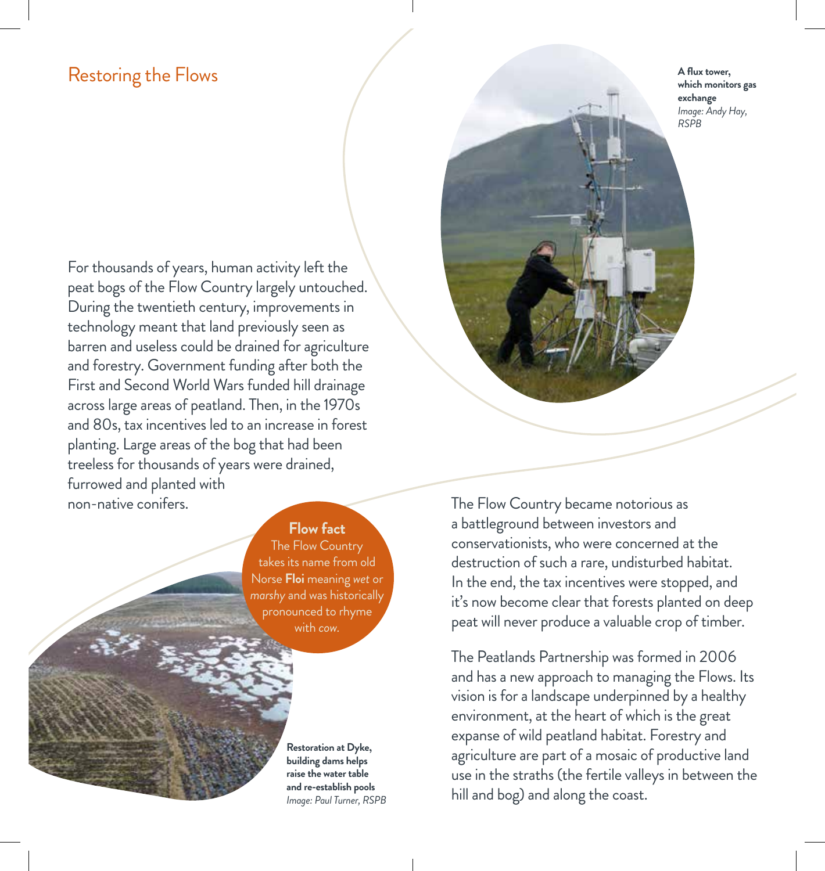# Restoring the Flows

**A flux tower, which monitors gas exchange** *Image: Andy Hay, RSPB*

For thousands of years, human activity left the peat bogs of the Flow Country largely untouched. During the twentieth century, improvements in technology meant that land previously seen as barren and useless could be drained for agriculture and forestry. Government funding after both the First and Second World Wars funded hill drainage across large areas of peatland. Then, in the 1970s and 80s, tax incentives led to an increase in forest planting. Large areas of the bog that had been treeless for thousands of years were drained, furrowed and planted with non-native conifers. The Flow Country became notorious as

#### **Flow fact**

The Flow Country takes its name from old Norse **Floi** meaning *wet* or *marshy* and was historically pronounced to rhyme with *cow.*

> **Restoration at Dyke, building dams helps raise the water table and re-establish pools**  *Image: Paul Turner, RSPB*

a battleground between investors and conservationists, who were concerned at the destruction of such a rare, undisturbed habitat. In the end, the tax incentives were stopped, and it's now become clear that forests planted on deep peat will never produce a valuable crop of timber.

The Peatlands Partnership was formed in 2006 and has a new approach to managing the Flows. Its vision is for a landscape underpinned by a healthy environment, at the heart of which is the great expanse of wild peatland habitat. Forestry and agriculture are part of a mosaic of productive land use in the straths (the fertile valleys in between the hill and bog) and along the coast.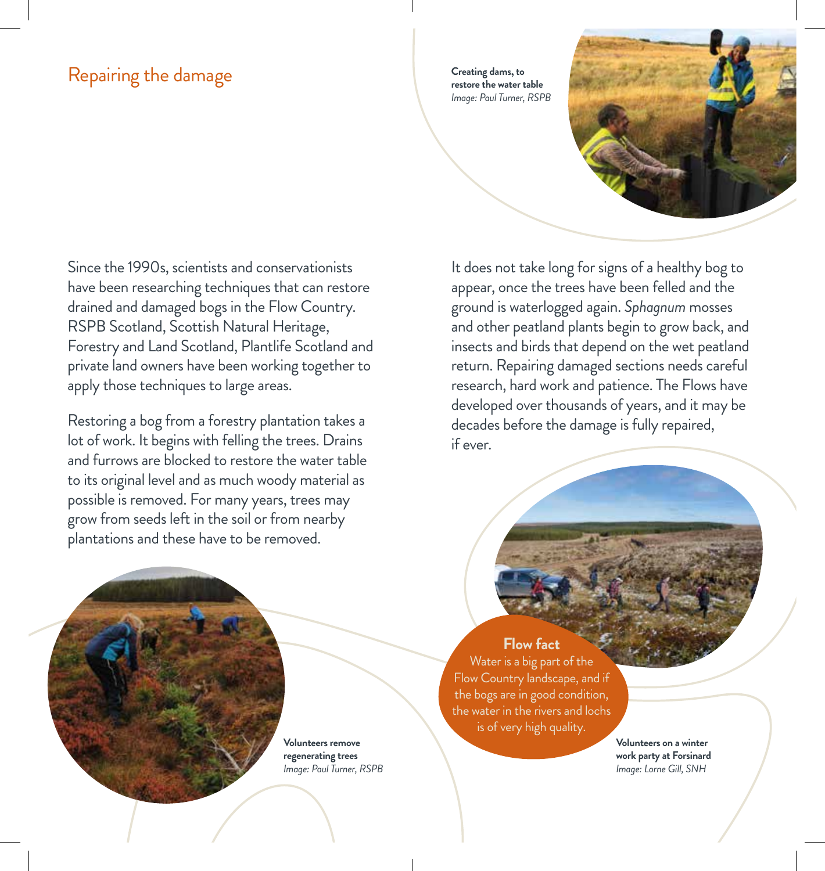# Repairing the damage **Creating dams, to**

**restore the water table** *Image: Paul Turner, RSPB*



Since the 1990s, scientists and conservationists have been researching techniques that can restore drained and damaged bogs in the Flow Country. RSPB Scotland, Scottish Natural Heritage, Forestry and Land Scotland, Plantlife Scotland and private land owners have been working together to apply those techniques to large areas.

Restoring a bog from a forestry plantation takes a lot of work. It begins with felling the trees. Drains and furrows are blocked to restore the water table to its original level and as much woody material as possible is removed. For many years, trees may grow from seeds left in the soil or from nearby plantations and these have to be removed.

It does not take long for signs of a healthy bog to appear, once the trees have been felled and the ground is waterlogged again. *Sphagnum* mosses and other peatland plants begin to grow back, and insects and birds that depend on the wet peatland return. Repairing damaged sections needs careful research, hard work and patience. The Flows have developed over thousands of years, and it may be decades before the damage is fully repaired, if ever.

#### **Flow fact**

Water is a big part of the Flow Country landscape, and if the bogs are in good condition, the water in the rivers and lochs is of very high quality.

> **Volunteers on a winter work party at Forsinard** *Image: Lorne Gill, SNH*

**Volunteers remove regenerating trees** *Image: Paul Turner, RSPB*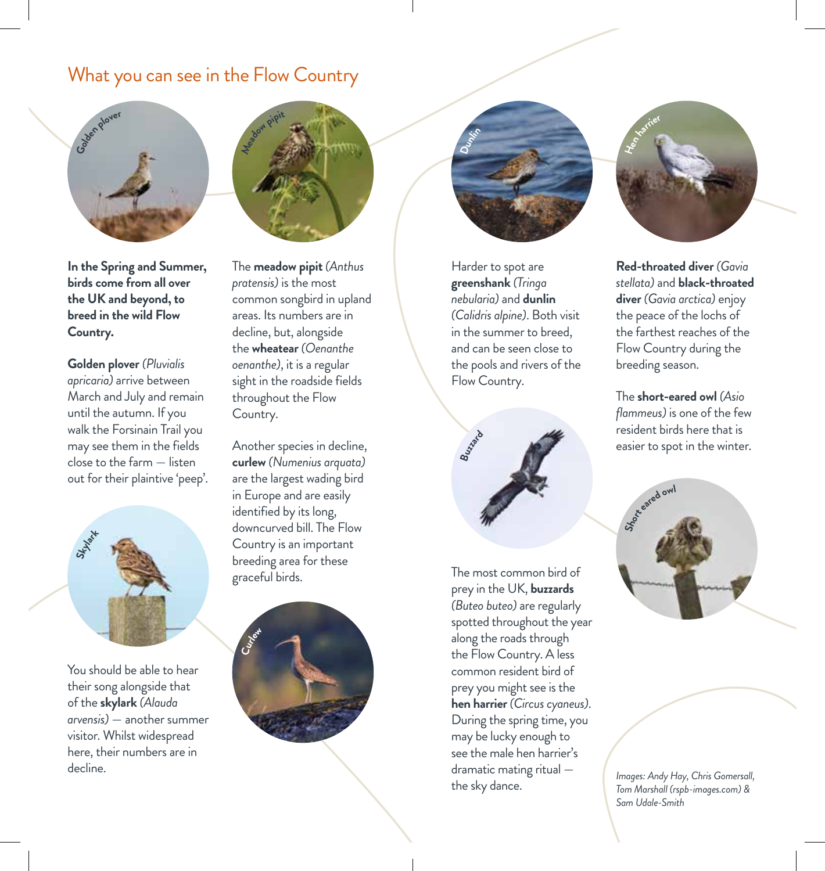# What you can see in the Flow Country



**In the Spring and Summer, birds come from all over the UK and beyond, to breed in the wild Flow Country.**

**Golden plover** *(Pluvialis apricaria)* arrive between March and July and remain until the autumn. If you walk the Forsinain Trail you may see them in the fields close to the farm — listen out for their plaintive 'peep'.



You should be able to hear their song alongside that of the **skylark** *(Alauda arvensis)* — another summer visitor. Whilst widespread here, their numbers are in decline.



The **meadow pipit** *(Anthus pratensis)* is the most common songbird in upland areas. Its numbers are in decline, but, alongside the **wheatear** *(Oenanthe oenanthe)*, it is a regular sight in the roadside fields throughout the Flow Country.

Another species in decline, **curlew** *(Numenius arquata)* are the largest wading bird in Europe and are easily identified by its long, downcurved bill. The Flow Country is an important breeding area for these graceful birds.





Harder to spot are **greenshank** *(Tringa nebularia)* and **dunlin** *(Calidris alpine)*. Both visit in the summer to breed, and can be seen close to the pools and rivers of the Flow Country.



The most common bird of prey in the UK, **buzzards** *(Buteo buteo)* are regularly spotted throughout the year along the roads through the Flow Country. A less common resident bird of prey you might see is the **hen harrier** *(Circus cyaneus)*. During the spring time, you may be lucky enough to see the male hen harrier's dramatic mating ritual the sky dance.



**Red-throated diver** *(Gavia stellata)* and **black-throated diver** *(Gavia arctica)* enjoy the peace of the lochs of the farthest reaches of the Flow Country during the breeding season.

The **short-eared owl** *(Asio flammeus)* is one of the few resident birds here that is easier to spot in the winter.



*Images: Andy Hay, Chris Gomersall, Tom Marshall (rspb-images.com) & Sam Udale-Smith*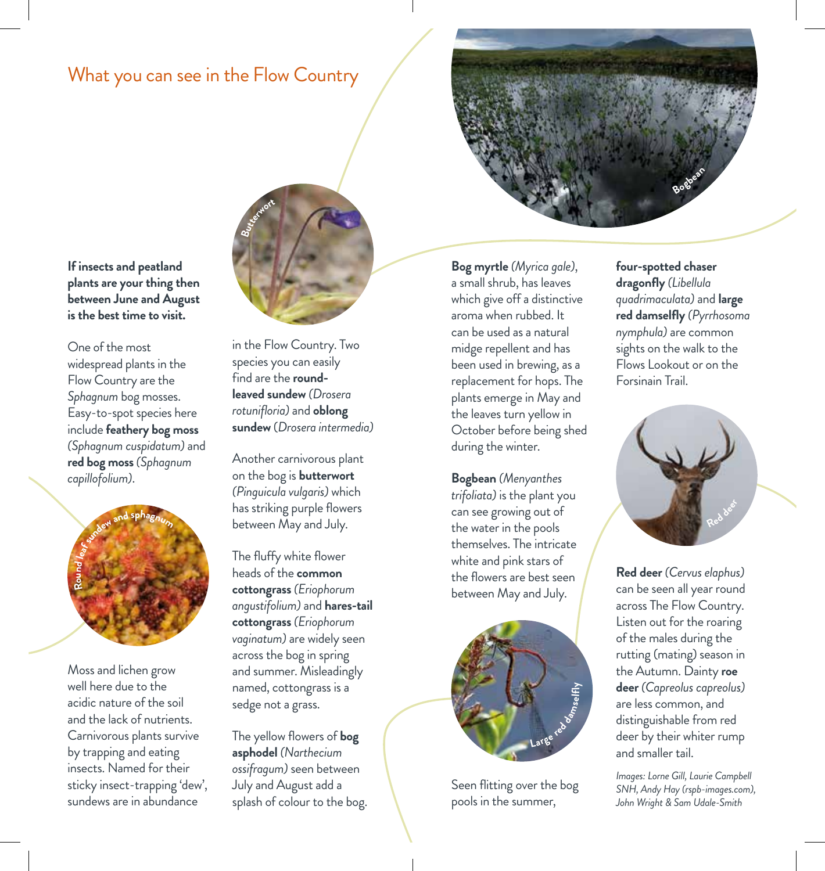# What you can see in the Flow Country



**If insects and peatland plants are your thing then between June and August is the best time to visit.**

One of the most widespread plants in the Flow Country are the *Sphagnum* bog mosses. Easy-to-spot species here include **feathery bog moss**  *(Sphagnum cuspidatum)* and **red bog moss** *(Sphagnum capillofolium)*.

| <b>Samuel Bragnum</b> |  |
|-----------------------|--|
|                       |  |
|                       |  |

Moss and lichen grow well here due to the acidic nature of the soil and the lack of nutrients. Carnivorous plants survive by trapping and eating insects. Named for their sticky insect-trapping 'dew', sundews are in abundance



in the Flow Country. Two species you can easily find are the **roundleaved sundew** *(Drosera rotunifloria)* and **oblong sundew** (*Drosera intermedia)*

Another carnivorous plant on the bog is **butterwort** *(Pinguicula vulgaris)* which has striking purple flowers between May and July.

The fluffy white flower heads of the **common cottongrass***(Eriophorum angustifolium)* and **hares-tail cottongrass** *(Eriophorum vaginatum)* are widely seen across the bog in spring and summer. Misleadingly named, cottongrass is a sedge not a grass.

The yellow flowers of **bog asphodel** *(Narthecium ossifragum)* seen between July and August add a splash of colour to the bog. **Bog myrtle** *(Myrica gale)*, a small shrub, has leaves which give off a distinctive aroma when rubbed. It can be used as a natural midge repellent and has been used in brewing, as a replacement for hops. The plants emerge in May and the leaves turn yellow in October before being shed during the winter.

**Bogbean** *(Menyanthes trifoliata)* is the plant you can see growing out of the water in the pools themselves. The intricate white and pink stars of the flowers are best seen between May and July.



Seen flitting over the bog pools in the summer,

**four-spotted chaser dragonfly** *(Libellula quadrimaculata)* and **large red damselfly** *(Pyrrhosoma nymphula)* are common sights on the walk to the Flows Lookout or on the Forsinain Trail.



**Red deer** *(Cervus elaphus)* can be seen all year round across The Flow Country. Listen out for the roaring of the males during the rutting (mating) season in the Autumn. Dainty **roe deer** *(Capreolus capreolus)* are less common, and distinguishable from red deer by their whiter rump and smaller tail.

*Images: Lorne Gill, Laurie Campbell SNH, Andy Hay (rspb-images.com), John Wright & Sam Udale-Smith*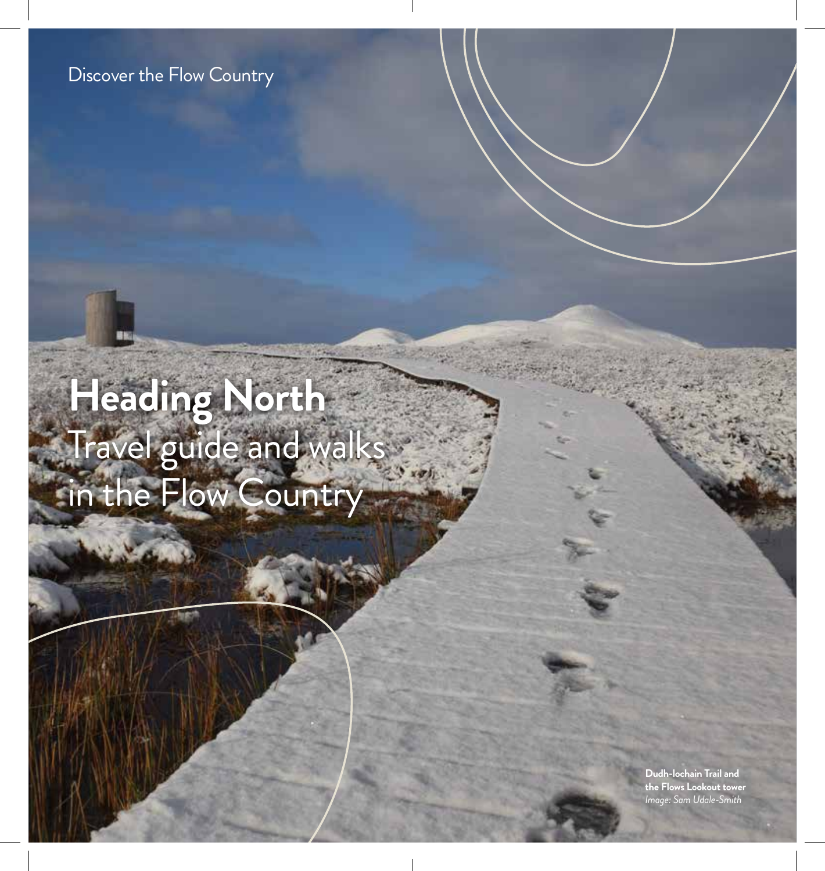# Discover the Flow Country

# **Heading North**  Travel guide and walks in the Flow Country

**Dudh-lochain Trail and the Flows Lookout tower** *Image: Sam Udale-Smith*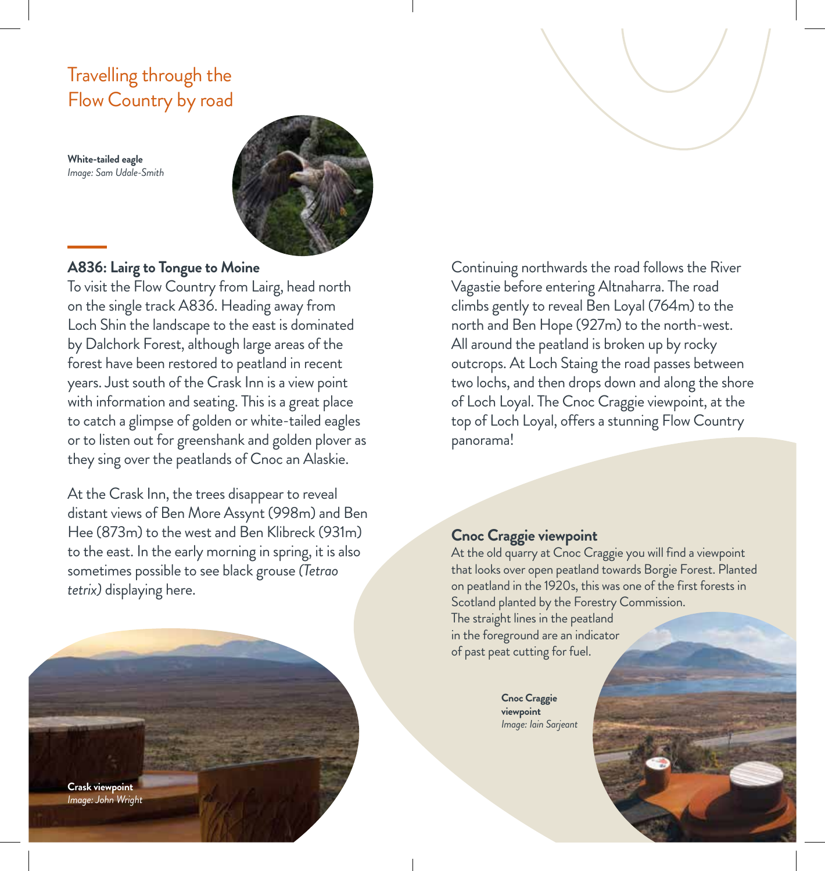# Travelling through the Flow Country by road

**White-tailed eagle**  *Image: Sam Udale-Smith*



#### **A836: Lairg to Tongue to Moine**

To visit the Flow Country from Lairg, head north on the single track A836. Heading away from Loch Shin the landscape to the east is dominated by Dalchork Forest, although large areas of the forest have been restored to peatland in recent years. Just south of the Crask Inn is a view point with information and seating. This is a great place to catch a glimpse of golden or white-tailed eagles or to listen out for greenshank and golden plover as they sing over the peatlands of Cnoc an Alaskie.

At the Crask Inn, the trees disappear to reveal distant views of Ben More Assynt (998m) and Ben Hee (873m) to the west and Ben Klibreck (931m) to the east. In the early morning in spring, it is also sometimes possible to see black grouse *(Tetrao tetrix)* displaying here.

Continuing northwards the road follows the River Vagastie before entering Altnaharra. The road climbs gently to reveal Ben Loyal (764m) to the north and Ben Hope (927m) to the north-west. All around the peatland is broken up by rocky outcrops. At Loch Staing the road passes between two lochs, and then drops down and along the shore of Loch Loyal. The Cnoc Craggie viewpoint, at the top of Loch Loyal, offers a stunning Flow Country panorama!

#### **Cnoc Craggie viewpoint**

At the old quarry at Cnoc Craggie you will find a viewpoint that looks over open peatland towards Borgie Forest. Planted on peatland in the 1920s, this was one of the first forests in Scotland planted by the Forestry Commission.

The straight lines in the peatland in the foreground are an indicator of past peat cutting for fuel.

> **Cnoc Craggie viewpoint**  *Image: Iain Sarjeant*

**Crask viewpoint**  *Image: John Wright*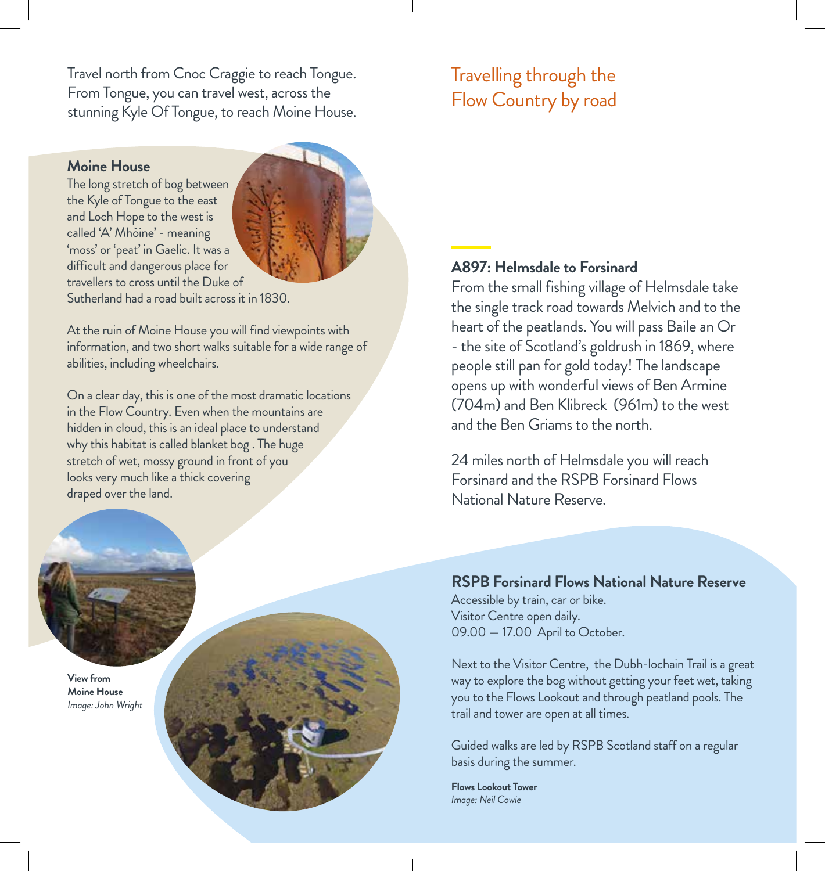Travel north from Cnoc Craggie to reach Tongue. From Tongue, you can travel west, across the stunning Kyle Of Tongue, to reach Moine House.

#### **Moine House**

The long stretch of bog between the Kyle of Tongue to the east and Loch Hope to the west is called 'A' Mhòine' - meaning 'moss' or 'peat' in Gaelic. It was a difficult and dangerous place for travellers to cross until the Duke of Sutherland had a road built across it in 1830.

At the ruin of Moine House you will find viewpoints with information, and two short walks suitable for a wide range of abilities, including wheelchairs.

On a clear day, this is one of the most dramatic locations in the Flow Country. Even when the mountains are hidden in cloud, this is an ideal place to understand why this habitat is called blanket bog . The huge stretch of wet, mossy ground in front of you looks very much like a thick covering draped over the land.



**View from Moine House** *Image: John Wright*



# Travelling through the Flow Country by road

#### **A897: Helmsdale to Forsinard**

From the small fishing village of Helmsdale take the single track road towards Melvich and to the heart of the peatlands. You will pass Baile an Or - the site of Scotland's goldrush in 1869, where people still pan for gold today! The landscape opens up with wonderful views of Ben Armine (704m) and Ben Klibreck (961m) to the west and the Ben Griams to the north.

24 miles north of Helmsdale you will reach Forsinard and the RSPB Forsinard Flows National Nature Reserve.

**RSPB Forsinard Flows National Nature Reserve**  Accessible by train, car or bike. Visitor Centre open daily. 09.00 — 17.00 April to October.

Next to the Visitor Centre, the Dubh-lochain Trail is a great way to explore the bog without getting your feet wet, taking you to the Flows Lookout and through peatland pools. The trail and tower are open at all times.

Guided walks are led by RSPB Scotland staff on a regular basis during the summer.

**Flows Lookout Tower** *Image: Neil Cowie*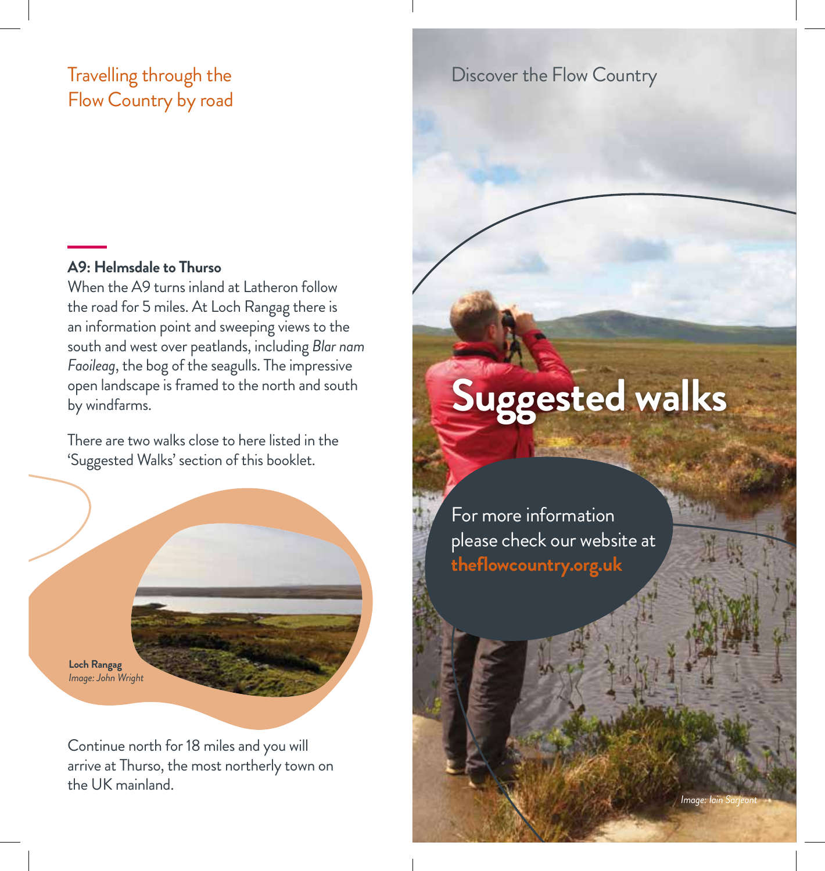# Travelling through the Flow Country by road

Discover the Flow Country

### **A9: Helmsdale to Thurso**

When the A9 turns inland at Latheron follow the road for 5 miles. At Loch Rangag there is an information point and sweeping views to the south and west over peatlands, including *Blar nam Faoileag*, the bog of the seagulls. The impressive open landscape is framed to the north and south by windfarms.

There are two walks close to here listed in the 'Suggested Walks' section of this booklet.

**Loch Rangag**  *Image: John Wright*

Continue north for 18 miles and you will arrive at Thurso, the most northerly town on the UK mainland.

# **Suggested walks**

*Image: Iain Sarjeant*

For more information please check our website at **theflowcountry.org.uk**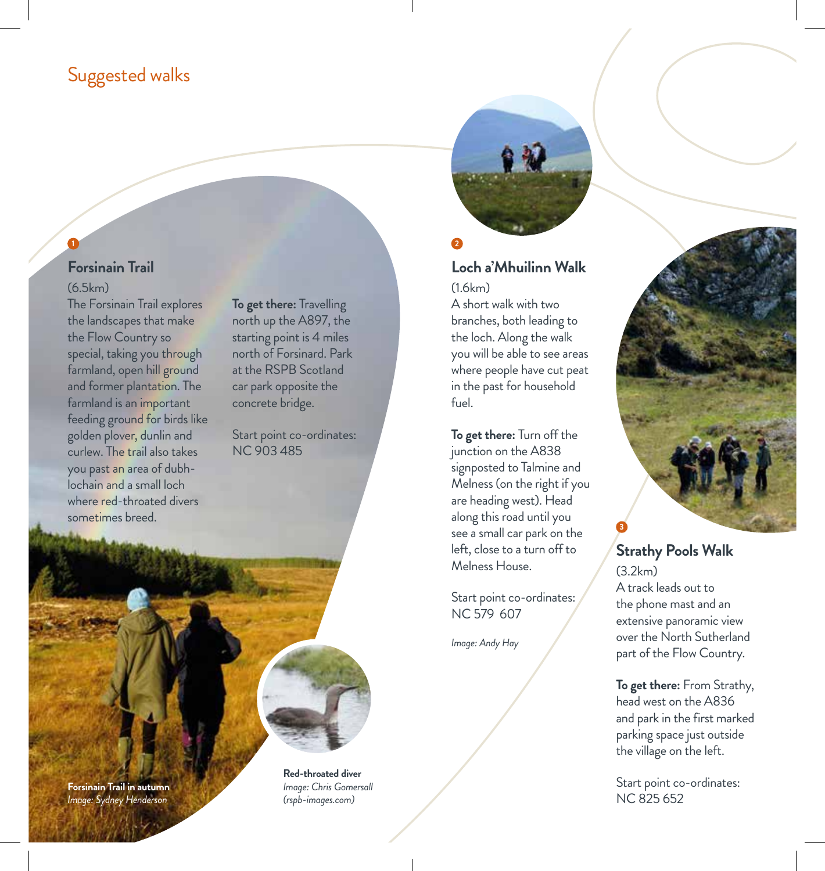# Suggested walks

#### **1 2**

### **Forsinain Trail**

(6.5km) The Forsinain Trail explores the landscapes that make the Flow Country so special, taking you through farmland, open hill ground and former plantation. The farmland is an important feeding ground for birds like golden plover, dunlin and curlew. The trail also takes you past an area of dubhlochain and a small loch where red-throated divers sometimes breed.

**To get there:** Travelling north up the A897, the starting point is 4 miles north of Forsinard. Park at the RSPB Scotland car park opposite the concrete bridge.

Start point co-ordinates: NC 903 485



#### **Loch a'Mhuilinn Walk**   $(16km)$

A short walk with two branches, both leading to the loch. Along the walk you will be able to see areas where people have cut peat in the past for household fuel.

**To get there:** Turn off the junction on the A838 signposted to Talmine and Melness (on the right if you are heading west). Head along this road until you see a small car park on the left, close to a turn off to Melness House.

Start point co-ordinates: NC 579 607

*Image: Andy Hay*



### **Strathy Pools Walk**  (3.2km)

A track leads out to the phone mast and an extensive panoramic view over the North Sutherland part of the Flow Country.

**To get there:** From Strathy, head west on the A836 and park in the first marked parking space just outside the village on the left.

Start point co-ordinates: NC 825 652

**Forsinain Trail in autumn**  *Image: Sydney Henderson*

**Red-throated diver** *Image: Chris Gomersall (rspb-images.com)*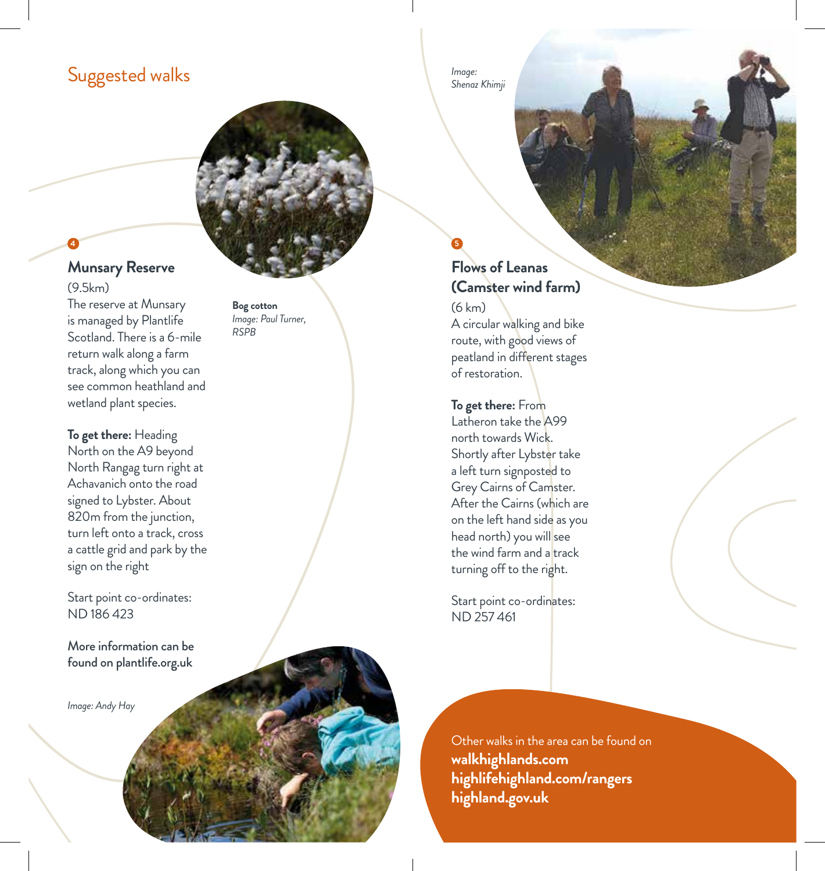# Suggested walks

**Munsary Reserve** 

(9.5km) The reserve at Munsary is managed by Plantlife Scotland. There is a 6-mile return walk along a farm track, along which you can see common heathland and wetland plant species.

**To get there:** Heading North on the A9 beyond North Rangag turn right at Achavanich onto the road signed to Lybster. About 820m from the junction, turn left onto a track, cross a cattle grid and park by the sign on the right

Start point co-ordinates: ND 186 423

More information can be found on plantlife.org.uk

*Image: Andy Hay*

**Bog cotton** *Image: Paul Turner, RSPB*

*Image: Shenaz Khimji*

#### **4 5**

# **Flows of Leanas (Camster wind farm)**

(6 km) A circular walking and bike route, with good views of peatland in different stages of restoration.

#### **To get there:** From

Latheron take the A99 north towards Wick. Shortly after Lybster take a left turn signposted to Grey Cairns of Camster. After the Cairns (which are on the left hand side as you head north) you will see the wind farm and a track turning off to the right.

Start point co-ordinates: ND 257 461

Other walks in the area can be found on **walkhighlands.com highlifehighland.com/rangers highland.gov.uk**